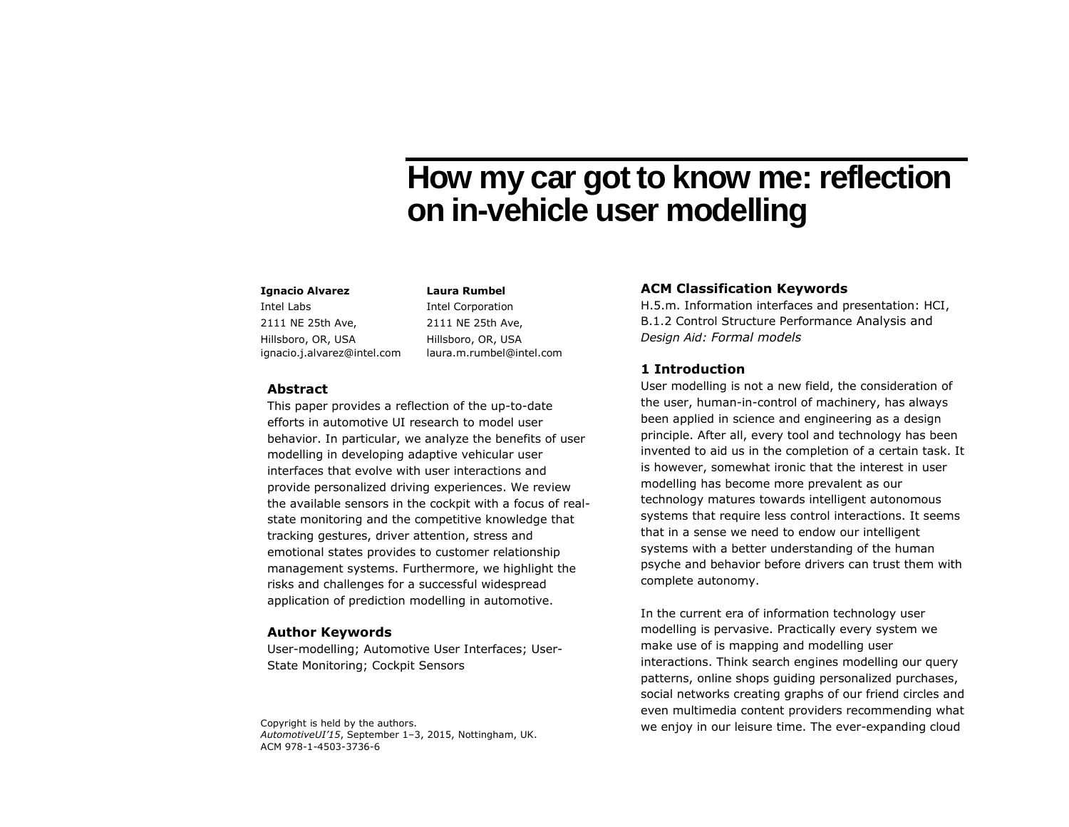# **How my car got to know me: reflection on in-vehicle user modelling**

## **Ignacio Alvarez**

Intel Labs 2111 NE 25th Ave, Hillsboro, OR, USA ignacio.j.alvarez@intel.com Intel Corporation 2111 NE 25th Ave, Hillsboro, OR, USA laura.m.rumbel@intel.com

**Laura Rumbel**

#### **Abstract**

This paper provides a reflection of the up-to-date efforts in automotive UI research to model user behavior. In particular, we analyze the benefits of user modelling in developing adaptive vehicular user interfaces that evolve with user interactions and provide personalized driving experiences. We review the available sensors in the cockpit with a focus of realstate monitoring and the competitive knowledge that tracking gestures, driver attention, stress and emotional states provides to customer relationship management systems. Furthermore, we highlight the risks and challenges for a successful widespread application of prediction modelling in automotive.

#### **Author Keywords**

User-modelling; Automotive User Interfaces; User-State Monitoring; Cockpit Sensors

*AutomotiveUI'15*, September 1–3, 2015, Nottingham, UK. ACM 978-1-4503-3736-6

## **ACM Classification Keywords**

H.5.m. Information interfaces and presentation: HCI, B.1.2 Control Structure Performance Analysis and *Design Aid: Formal models*

## **1 Introduction**

User modelling is not a new field, the consideration of the user, human-in-control of machinery, has always been applied in science and engineering as a design principle. After all, every tool and technology has been invented to aid us in the completion of a certain task. It is however, somewhat ironic that the interest in user modelling has become more prevalent as our technology matures towards intelligent autonomous systems that require less control interactions. It seems that in a sense we need to endow our intelligent systems with a better understanding of the human psyche and behavior before drivers can trust them with complete autonomy.

In the current era of information technology user modelling is pervasive. Practically every system we make use of is mapping and modelling user interactions. Think search engines modelling our query patterns, online shops guiding personalized purchases, social networks creating graphs of our friend circles and even multimedia content providers recommending what Copyright is held by the authors. The ever-expanding cloud Copyright is held by the authors.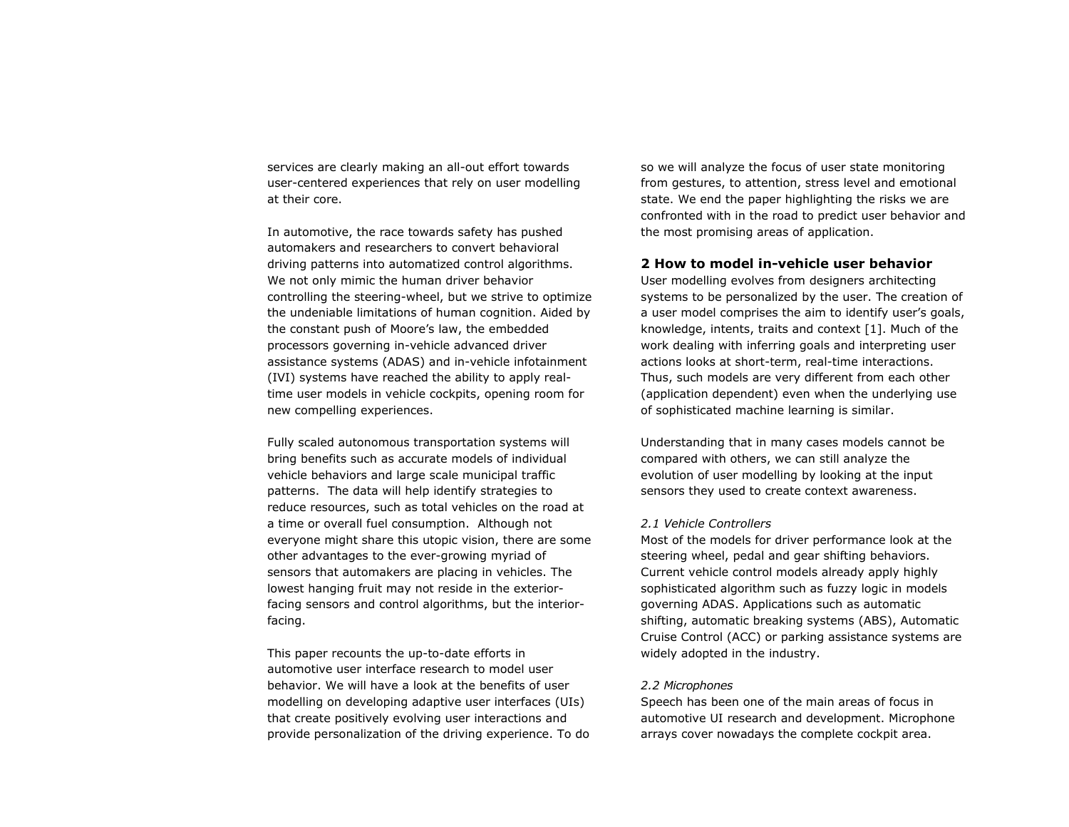services are clearly making an all-out effort towards user-centered experiences that rely on user modelling at their core.

In automotive, the race towards safety has pushed automakers and researchers to convert behavioral driving patterns into automatized control algorithms. We not only mimic the human driver behavior controlling the steering-wheel, but we strive to optimize the undeniable limitations of human cognition. Aided by the constant push of Moore's law, the embedded processors governing in-vehicle advanced driver assistance systems (ADAS) and in-vehicle infotainment (IVI) systems have reached the ability to apply realtime user models in vehicle cockpits, opening room for new compelling experiences.

Fully scaled autonomous transportation systems will bring benefits such as accurate models of individual vehicle behaviors and large scale municipal traffic patterns. The data will help identify strategies to reduce resources, such as total vehicles on the road at a time or overall fuel consumption. Although not everyone might share this utopic vision, there are some other advantages to the ever-growing myriad of sensors that automakers are placing in vehicles. The lowest hanging fruit may not reside in the exteriorfacing sensors and control algorithms, but the interiorfacing.

This paper recounts the up-to-date efforts in automotive user interface research to model user behavior. We will have a look at the benefits of user modelling on developing adaptive user interfaces (UIs) that create positively evolving user interactions and provide personalization of the driving experience. To do so we will analyze the focus of user state monitoring from gestures, to attention, stress level and emotional state. We end the paper highlighting the risks we are confronted with in the road to predict user behavior and the most promising areas of application.

## **2 How to model in-vehicle user behavior**

User modelling evolves from designers architecting systems to be personalized by the user. The creation of a user model comprises the aim to identify user's goals, knowledge, intents, traits and context [1]. Much of the work dealing with inferring goals and interpreting user actions looks at short-term, real-time interactions. Thus, such models are very different from each other (application dependent) even when the underlying use of sophisticated machine learning is similar.

Understanding that in many cases models cannot be compared with others, we can still analyze the evolution of user modelling by looking at the input sensors they used to create context awareness.

#### *2.1 Vehicle Controllers*

Most of the models for driver performance look at the steering wheel, pedal and gear shifting behaviors. Current vehicle control models already apply highly sophisticated algorithm such as fuzzy logic in models governing ADAS. Applications such as automatic shifting, automatic breaking systems (ABS), Automatic Cruise Control (ACC) or parking assistance systems are widely adopted in the industry.

#### *2.2 Microphones*

Speech has been one of the main areas of focus in automotive UI research and development. Microphone arrays cover nowadays the complete cockpit area.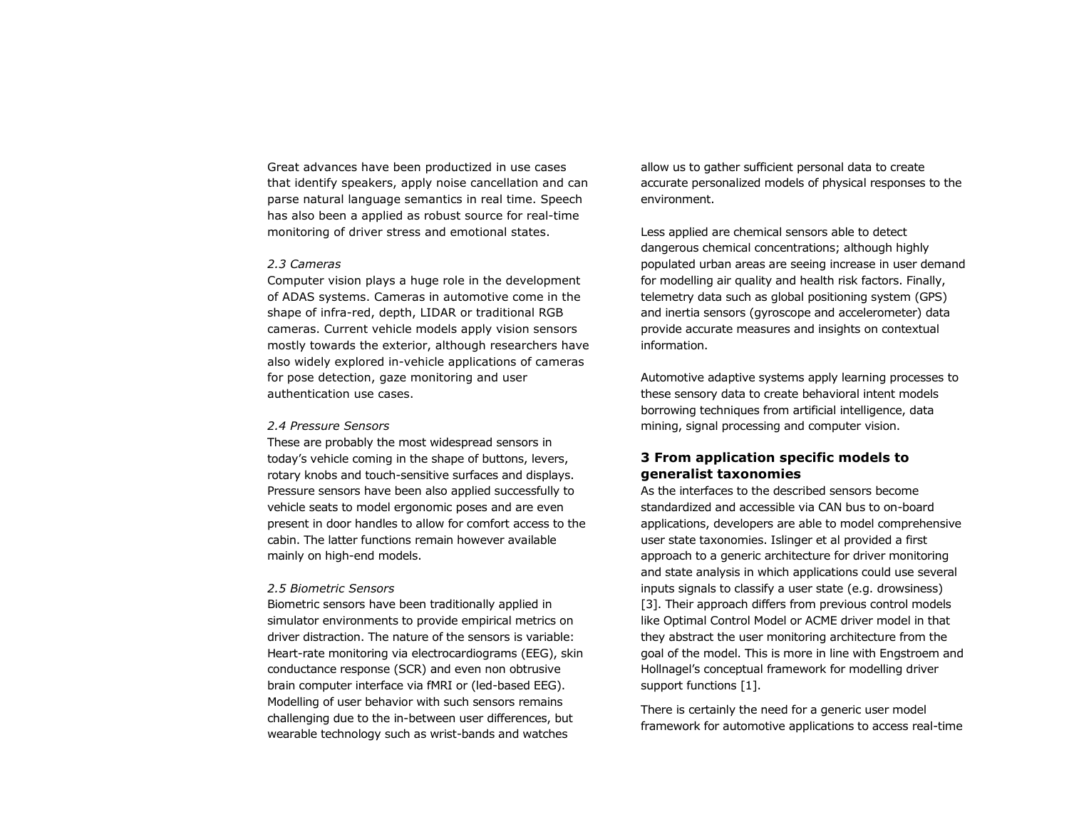Great advances have been productized in use cases that identify speakers, apply noise cancellation and can parse natural language semantics in real time. Speech has also been a applied as robust source for real-time monitoring of driver stress and emotional states.

#### *2.3 Cameras*

Computer vision plays a huge role in the development of ADAS systems. Cameras in automotive come in the shape of infra-red, depth, LIDAR or traditional RGB cameras. Current vehicle models apply vision sensors mostly towards the exterior, although researchers have also widely explored in-vehicle applications of cameras for pose detection, gaze monitoring and user authentication use cases.

#### *2.4 Pressure Sensors*

These are probably the most widespread sensors in today's vehicle coming in the shape of buttons, levers, rotary knobs and touch-sensitive surfaces and displays. Pressure sensors have been also applied successfully to vehicle seats to model ergonomic poses and are even present in door handles to allow for comfort access to the cabin. The latter functions remain however available mainly on high-end models.

#### *2.5 Biometric Sensors*

Biometric sensors have been traditionally applied in simulator environments to provide empirical metrics on driver distraction. The nature of the sensors is variable: Heart-rate monitoring via electrocardiograms (EEG), skin conductance response (SCR) and even non obtrusive brain computer interface via fMRI or (led-based EEG). Modelling of user behavior with such sensors remains challenging due to the in-between user differences, but wearable technology such as wrist-bands and watches

allow us to gather sufficient personal data to create accurate personalized models of physical responses to the environment.

Less applied are chemical sensors able to detect dangerous chemical concentrations; although highly populated urban areas are seeing increase in user demand for modelling air quality and health risk factors. Finally, telemetry data such as global positioning system (GPS) and inertia sensors (gyroscope and accelerometer) data provide accurate measures and insights on contextual information.

Automotive adaptive systems apply learning processes to these sensory data to create behavioral intent models borrowing techniques from artificial intelligence, data mining, signal processing and computer vision.

## **3 From application specific models to generalist taxonomies**

As the interfaces to the described sensors become standardized and accessible via CAN bus to on-board applications, developers are able to model comprehensive user state taxonomies. Islinger et al provided a first approach to a generic architecture for driver monitoring and state analysis in which applications could use several inputs signals to classify a user state (e.g. drowsiness) [3]. Their approach differs from previous control models like Optimal Control Model or ACME driver model in that they abstract the user monitoring architecture from the goal of the model. This is more in line with Engstroem and Hollnagel's conceptual framework for modelling driver support functions [1].

There is certainly the need for a generic user model framework for automotive applications to access real-time